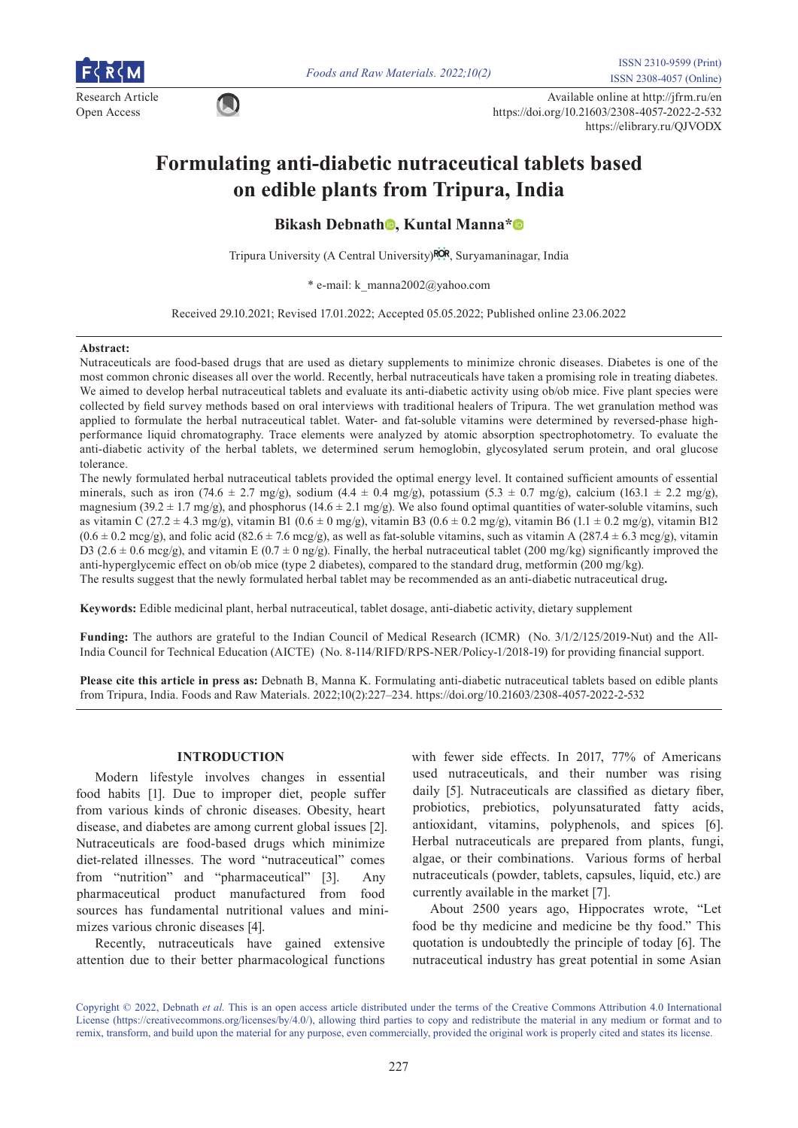

*Foods and Raw Materials. 2022;10(2)* ISSN 2310-9599 (Print)

Research Article Available online at http://jfrm.ru/en<br>
Onen Aesearch Article Available online at http://jfrm.ru/en Open Access https://doi.org/10.21603/2308-4057-2022-2-532 https://elibrary.ru/QJVODX

# **Formulating anti-diabetic nutraceutical tablets based on edible plants from Tripura, India**

**Bikas[h](https://orcid.org/0000-0001-9698-0012) Debnath<sup>®</sup>, Kuntal Manna<sup>[\\*](https://orcid.org/0000-0001-5327-365X)</sup><sup>®</sup>** 

Tripura University (A Central University) ROR[,](https://ror.org/05xqycm14) Suryamaninagar, India

\* e-mail: k\_manna2002@yahoo.com

Received 29.10.2021; Revised 17.01.2022; Accepted 05.05.2022; Published online 23.06.2022

#### **Abstract:**

Nutraceuticals are food-based drugs that are used as dietary supplements to minimize chronic diseases. Diabetes is one of the most common chronic diseases all over the world. Recently, herbal nutraceuticals have taken a promising role in treating diabetes. We aimed to develop herbal nutraceutical tablets and evaluate its anti-diabetic activity using ob/ob mice. Five plant species were collected by field survey methods based on oral interviews with traditional healers of Tripura. The wet granulation method was applied to formulate the herbal nutraceutical tablet. Water- and fat-soluble vitamins were determined by reversed-phase highperformance liquid chromatography. Trace elements were analyzed by atomic absorption spectrophotometry. To evaluate the anti-diabetic activity of the herbal tablets, we determined serum hemoglobin, glycosylated serum protein, and oral glucose tolerance.

The newly formulated herbal nutraceutical tablets provided the optimal energy level. It contained sufficient amounts of essential minerals, such as iron (74.6 ± 2.7 mg/g), sodium (4.4 ± 0.4 mg/g), potassium (5.3 ± 0.7 mg/g), calcium (163.1 ± 2.2 mg/g), magnesium (39.2  $\pm$  1.7 mg/g), and phosphorus (14.6  $\pm$  2.1 mg/g). We also found optimal quantities of water-soluble vitamins, such as vitamin C (27.2  $\pm$  4.3 mg/g), vitamin B1 (0.6  $\pm$  0 mg/g), vitamin B3 (0.6  $\pm$  0.2 mg/g), vitamin B6 (1.1  $\pm$  0.2 mg/g), vitamin B12  $(0.6 \pm 0.2 \text{ mcg/g})$ , and folic acid  $(82.6 \pm 7.6 \text{ mcg/g})$ , as well as fat-soluble vitamins, such as vitamin A  $(287.4 \pm 6.3 \text{ mcg/g})$ , vitamin D3 (2.6  $\pm$  0.6 mcg/g), and vitamin E (0.7  $\pm$  0 ng/g). Finally, the herbal nutraceutical tablet (200 mg/kg) significantly improved the anti-hyperglycemic effect on ob/ob mice (type 2 diabetes), compared to the standard drug, metformin (200 mg/kg). The results suggest that the newly formulated herbal tablet may be recommended as an anti-diabetic nutraceutical drug**.**

**Keywords:** Edible medicinal plant, herbal nutraceutical, tablet dosage, anti-diabetic activity, dietary supplement

**Funding:** The authors are grateful to the Indian Council of Medical Research (ICMR) (No. 3/1/2/125/2019-Nut) and the All-India Council for Technical Education (AICTE) (No. 8-114/RIFD/RPS-NER/Policy-1/2018-19) for providing financial support.

**Please cite this article in press as:** Debnath B, Manna K. Formulating anti-diabetic nutraceutical tablets based on edible plants from Tripura, India. Foods and Raw Materials. 2022;10(2):227–234. https://doi.org/10.21603/2308-4057-2022-2-532

# **INTRODUCTION**

Modern lifestyle involves changes in essential food habits [1]. Due to improper diet, people suffer from various kinds of chronic diseases. Obesity, heart disease, and diabetes are among current global issues [2]. Nutraceuticals are food-based drugs which minimize diet-related illnesses. The word "nutraceutical" comes from "nutrition" and "pharmaceutical" [3]. Any pharmaceutical product manufactured from food sources has fundamental nutritional values and minimizes various chronic diseases [4].

Recently, nutraceuticals have gained extensive attention due to their better pharmacological functions with fewer side effects. In 2017, 77% of Americans used nutraceuticals, and their number was rising daily [5]. Nutraceuticals are classified as dietary fiber, probiotics, prebiotics, polyunsaturated fatty acids, antioxidant, vitamins, polyphenols, and spices [6]. Herbal nutraceuticals are prepared from plants, fungi, algae, or their combinations. Various forms of herbal nutraceuticals (powder, tablets, capsules, liquid, etc.) are currently available in the market [7].

About 2500 years ago, Hippocrates wrote, "Let food be thy medicine and medicine be thy food." This quotation is undoubtedly the principle of today [6]. The nutraceutical industry has great potential in some Asian

Copyright © 2022, Debnath *et al.* This is an open access article distributed under the terms of the Creative Commons Attribution 4.0 International License (https://creativecommons.org/licenses/by/4.0/), allowing third parties to copy and redistribute the material in any medium or format and to remix, transform, and build upon the material for any purpose, even commercially, provided the original work is properly cited and states its license.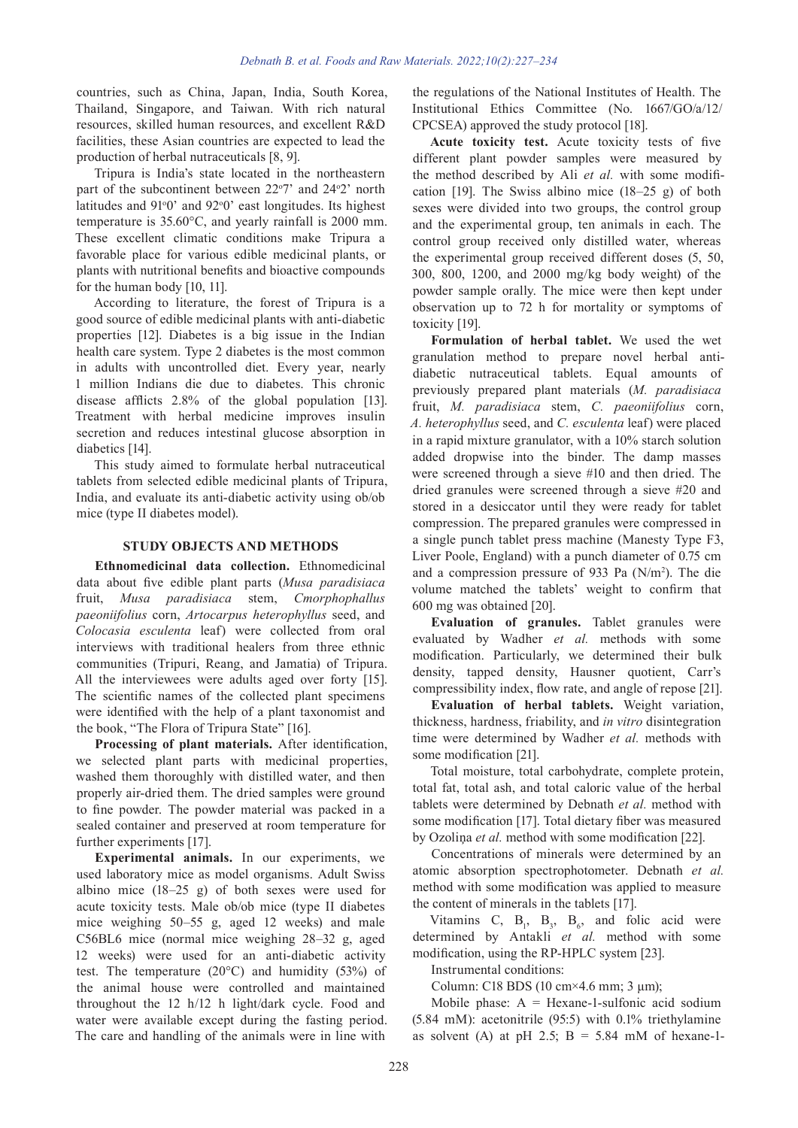countries, such as China, Japan, India, South Korea, Thailand, Singapore, and Taiwan. With rich natural resources, skilled human resources, and excellent R&D facilities, these Asian countries are expected to lead the production of herbal nutraceuticals [8, 9].

Tripura is India's state located in the northeastern part of the subcontinent between  $22^{\circ}7'$  and  $24^{\circ}2'$  north latitudes and 91°0' and 92°0' east longitudes. Its highest temperature is 35.60°C, and yearly rainfall is 2000 mm. These excellent climatic conditions make Tripura a favorable place for various edible medicinal plants, or plants with nutritional benefits and bioactive compounds for the human body [10, 11].

According to literature, the forest of Tripura is a good source of edible medicinal plants with anti-diabetic properties [12]. Diabetes is a big issue in the Indian health care system. Type 2 diabetes is the most common in adults with uncontrolled diet. Every year, nearly 1 million Indians die due to diabetes. This chronic disease afflicts 2.8% of the global population [13]. Treatment with herbal medicine improves insulin secretion and reduces intestinal glucose absorption in diabetics [14].

This study aimed to formulate herbal nutraceutical tablets from selected edible medicinal plants of Tripura, India, and evaluate its anti-diabetic activity using ob/ob mice (type II diabetes model).

#### **STUDY OBJECTS AND METHODS**

**Ethnomedicinal data collection.** Ethnomedicinal data about five edible plant parts (*Musa paradisiaca*  fruit, *Musa paradisiaca* stem, *Cmorphophallus paeoniifolius* corn, *Artocarpus heterophyllus* seed, and *Colocasia esculenta* leaf) were collected from oral interviews with traditional healers from three ethnic communities (Tripuri, Reang, and Jamatia) of Tripura. All the interviewees were adults aged over forty [15]. The scientific names of the collected plant specimens were identified with the help of a plant taxonomist and the book, "The Flora of Tripura State" [16].

**Processing of plant materials.** After identification, we selected plant parts with medicinal properties, washed them thoroughly with distilled water, and then properly air-dried them. The dried samples were ground to fine powder. The powder material was packed in a sealed container and preserved at room temperature for further experiments [17].

**Experimental animals.** In our experiments, we used laboratory mice as model organisms. Adult Swiss albino mice (18–25 g) of both sexes were used for acute toxicity tests. Male ob/ob mice (type II diabetes mice weighing 50–55 g, aged 12 weeks) and male C56BL6 mice (normal mice weighing 28–32 g, aged 12 weeks) were used for an anti-diabetic activity test. The temperature (20°C) and humidity (53%) of the animal house were controlled and maintained throughout the 12 h/12 h light/dark cycle. Food and water were available except during the fasting period. The care and handling of the animals were in line with

the regulations of the National Institutes of Health. The Institutional Ethics Committee (No. 1667/GO/a/12/ CPCSEA) approved the study protocol [18].

**Acute toxicity test.** Acute toxicity tests of five different plant powder samples were measured by the method described by Ali *et al.* with some modification [19]. The Swiss albino mice (18–25 g) of both sexes were divided into two groups, the control group and the experimental group, ten animals in each. The control group received only distilled water, whereas the experimental group received different doses (5, 50, 300, 800, 1200, and 2000 mg/kg body weight) of the powder sample orally. The mice were then kept under observation up to 72 h for mortality or symptoms of toxicity [19].

**Formulation of herbal tablet.** We used the wet granulation method to prepare novel herbal antidiabetic nutraceutical tablets. Equal amounts of previously prepared plant materials (*M. paradisiaca*  fruit, *M. paradisiaca* stem, *C. paeoniifolius* corn, *A. heterophyllus* seed, and *C. esculenta* leaf) were placed in a rapid mixture granulator, with a 10% starch solution added dropwise into the binder. The damp masses were screened through a sieve #10 and then dried. The dried granules were screened through a sieve #20 and stored in a desiccator until they were ready for tablet compression. The prepared granules were compressed in a single punch tablet press machine (Manesty Type F3, Liver Poole, England) with a punch diameter of 0.75 cm and a compression pressure of 933 Pa  $(N/m<sup>2</sup>)$ . The die volume matched the tablets' weight to confirm that 600 mg was obtained [20].

**Evaluation of granules.** Tablet granules were evaluated by Wadher *et al.* methods with some modification. Particularly, we determined their bulk density, tapped density, Hausner quotient, Carr's compressibility index, flow rate, and angle of repose [21].

**Evaluation of herbal tablets.** Weight variation, thickness, hardness, friability, and *in vitro* disintegration time were determined by Wadher *et al.* methods with some modification [21].

Total moisture, total carbohydrate, complete protein, total fat, total ash, and total caloric value of the herbal tablets were determined by Debnath *et al.* method with some modification [17]. Total dietary fiber was measured by Ozoliņa *et al.* method with some modification [22].

Concentrations of minerals were determined by an atomic absorption spectrophotometer. Debnath *et al.* method with some modification was applied to measure the content of minerals in the tablets [17].

Vitamins C,  $B_1$ ,  $B_3$ ,  $B_6$ , and folic acid were determined by Antakli *et al.* method with some modification, using the RP-HPLC system [23].

Instrumental conditions:

Column: C18 BDS (10 cm×4.6 mm; 3 μm);

Mobile phase:  $A =$  Hexane-1-sulfonic acid sodium (5.84 mM): acetonitrile (95:5) with 0.1% triethylamine as solvent (A) at pH 2.5;  $B = 5.84$  mM of hexane-1-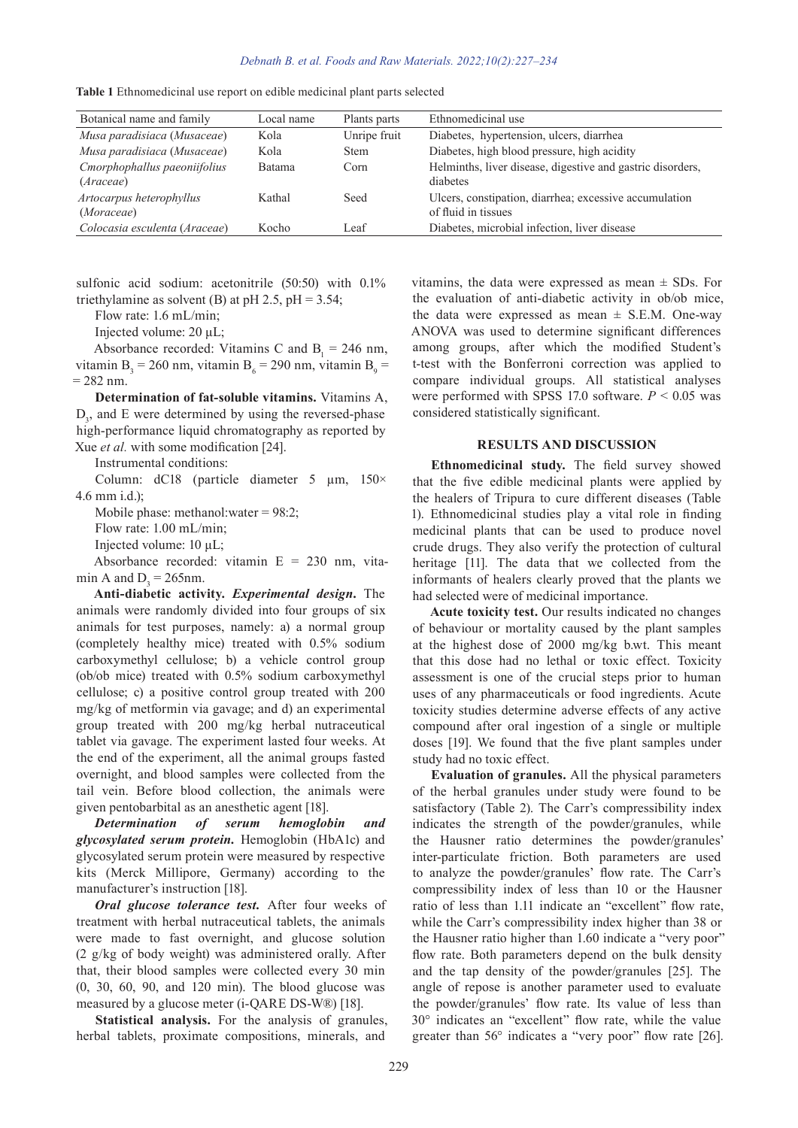| Botanical name and family     | Local name | Plants parts | Ethnomedicinal use                                         |
|-------------------------------|------------|--------------|------------------------------------------------------------|
| Musa paradisiaca (Musaceae)   | Kola       | Unripe fruit | Diabetes, hypertension, ulcers, diarrhea                   |
| Musa paradisiaca (Musaceae)   | Kola       | <b>Stem</b>  | Diabetes, high blood pressure, high acidity                |
| Cmorphophallus paeoniifolius  | Batama     | Corn         | Helminths, liver disease, digestive and gastric disorders, |
| ( <i>Araceae</i> )            |            |              | diabetes                                                   |
| Artocarpus heterophyllus      | Kathal     | Seed         | Ulcers, constipation, diarrhea; excessive accumulation     |
| (Moraceae)                    |            |              | of fluid in tissues                                        |
| Colocasia esculenta (Araceae) | Kocho      | Leaf         | Diabetes, microbial infection, liver disease               |

**Table 1** Ethnomedicinal use report on edible medicinal plant parts selected

sulfonic acid sodium: acetonitrile (50:50) with 0.1% triethylamine as solvent (B) at pH 2.5, pH =  $3.54$ ;

Flow rate: 1.6 mL/min;

Injected volume: 20 μL;

Absorbance recorded: Vitamins C and  $B_1 = 246$  nm, vitamin  $B_3 = 260$  nm, vitamin  $B_6 = 290$  nm, vitamin  $B_9 =$  $= 282$  nm.

**Determination of fat-soluble vitamins.** Vitamins A,  $D_3$ , and E were determined by using the reversed-phase high-performance liquid chromatography as reported by Xue *et al.* with some modification [24].

Instrumental conditions:

Column:  $dC18$  (particle diameter 5  $\mu$ m,  $150 \times$ 4.6 mm i.d.);

Mobile phase: methanol:water = 98:2;

Flow rate: 1.00 mL/min;

Injected volume: 10 μL;

Absorbance recorded: vitamin E = 230 nm, vitamin A and  $D_3 = 265$ nm.

**Anti-diabetic activity.** *Experimental design***.** The animals were randomly divided into four groups of six animals for test purposes, namely: a) a normal group (completely healthy mice) treated with 0.5% sodium carboxymethyl cellulose; b) a vehicle control group (ob/ob mice) treated with 0.5% sodium carboxymethyl cellulose; c) a positive control group treated with 200 mg/kg of metformin via gavage; and d) an experimental group treated with 200 mg/kg herbal nutraceutical tablet via gavage. The experiment lasted four weeks. At the end of the experiment, all the animal groups fasted overnight, and blood samples were collected from the tail vein. Before blood collection, the animals were given pentobarbital as an anesthetic agent [18].

*Determination of serum hemoglobin and glycosylated serum protein.* Hemoglobin (HbA1c) and glycosylated serum protein were measured by respective kits (Merck Millipore, Germany) according to the manufacturer's instruction [18].

*Oral glucose tolerance test.* After four weeks of treatment with herbal nutraceutical tablets, the animals were made to fast overnight, and glucose solution (2 g/kg of body weight) was administered orally. After that, their blood samples were collected every 30 min (0, 30, 60, 90, and 120 min). The blood glucose was measured by a glucose meter (i-QARE DS-W®) [18].

**Statistical analysis.** For the analysis of granules, herbal tablets, proximate compositions, minerals, and

vitamins, the data were expressed as mean  $\pm$  SDs. For the evaluation of anti-diabetic activity in ob/ob mice, the data were expressed as mean  $\pm$  S.E.M. One-way ANOVA was used to determine significant differences among groups, after which the modified Student's t-test with the Bonferroni correction was applied to compare individual groups. All statistical analyses were performed with SPSS 17.0 software.  $P < 0.05$  was considered statistically significant.

#### **RESULTS AND DISCUSSION**

**Ethnomedicinal study.** The field survey showed that the five edible medicinal plants were applied by the healers of Tripura to cure different diseases (Table 1). Ethnomedicinal studies play a vital role in finding medicinal plants that can be used to produce novel crude drugs. They also verify the protection of cultural heritage [11]. The data that we collected from the informants of healers clearly proved that the plants we had selected were of medicinal importance.

**Acute toxicity test.** Our results indicated no changes of behaviour or mortality caused by the plant samples at the highest dose of 2000 mg/kg b.wt. This meant that this dose had no lethal or toxic effect. Toxicity assessment is one of the crucial steps prior to human uses of any pharmaceuticals or food ingredients. Acute toxicity studies determine adverse effects of any active compound after oral ingestion of a single or multiple doses [19]. We found that the five plant samples under study had no toxic effect.

**Evaluation of granules.** All the physical parameters of the herbal granules under study were found to be satisfactory (Table 2). The Carr's compressibility index indicates the strength of the powder/granules, while the Hausner ratio determines the powder/granules' inter-particulate friction. Both parameters are used to analyze the powder/granules' flow rate. The Carr's compressibility index of less than 10 or the Hausner ratio of less than 1.11 indicate an "excellent" flow rate, while the Carr's compressibility index higher than 38 or the Hausner ratio higher than 1.60 indicate a "very poor" flow rate. Both parameters depend on the bulk density and the tap density of the powder/granules [25]. The angle of repose is another parameter used to evaluate the powder/granules' flow rate. Its value of less than 30° indicates an "excellent" flow rate, while the value greater than 56° indicates a "very poor" flow rate [26].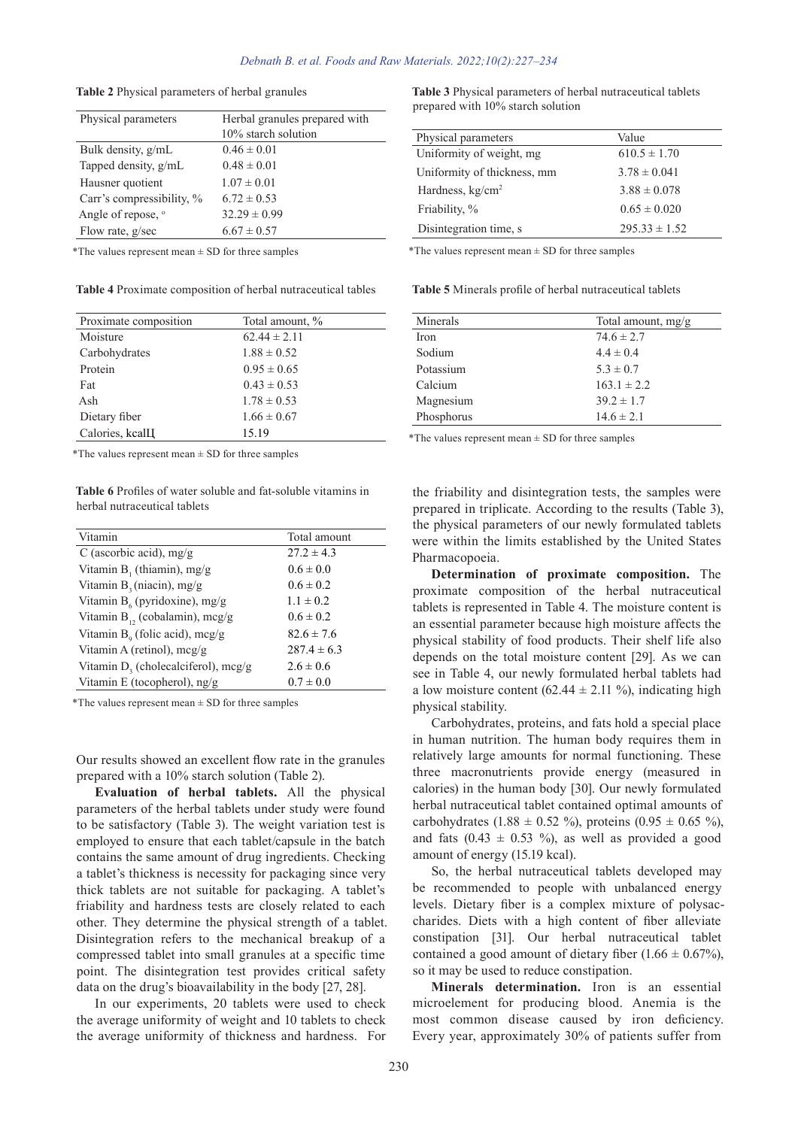| Table 2 Physical parameters of herbal granules |  |  |  |  |
|------------------------------------------------|--|--|--|--|
|------------------------------------------------|--|--|--|--|

| Physical parameters           | Herbal granules prepared with<br>10% starch solution |
|-------------------------------|------------------------------------------------------|
| Bulk density, g/mL            | $0.46 \pm 0.01$                                      |
| Tapped density, g/mL          | $0.48 \pm 0.01$                                      |
| Hausner quotient              | $1.07 \pm 0.01$                                      |
| Carr's compressibility, %     | $6.72 \pm 0.53$                                      |
| Angle of repose, <sup>o</sup> | $32.29 \pm 0.99$                                     |
| Flow rate, g/sec              | $6.67 \pm 0.57$                                      |

 $*$ The values represent mean  $\pm$  SD for three samples

**Table 4** Proximate composition of herbal nutraceutical tables

| Proximate composition        | Total amount, %  |
|------------------------------|------------------|
| Moisture                     | $62.44 \pm 2.11$ |
| Carbohydrates                | $1.88 \pm 0.52$  |
| Protein                      | $0.95 \pm 0.65$  |
| Fat                          | $0.43 \pm 0.53$  |
| Ash                          | $1.78 \pm 0.53$  |
| Dietary fiber                | $1.66 \pm 0.67$  |
| Calories, kcal <sub>II</sub> | 15.19            |

\*The values represent mean  $\pm$  SD for three samples

**Table 6** Profiles of water soluble and fat-soluble vitamins in herbal nutraceutical tablets

| Vitamin                                | Total amount    |
|----------------------------------------|-----------------|
| C (ascorbic acid), mg/g                | $27.2 \pm 4.3$  |
| Vitamin $B_1$ (thiamin), mg/g          | $0.6 \pm 0.0$   |
| Vitamin $B_3(niacin)$ , mg/g           | $0.6 \pm 0.2$   |
| Vitamin $B_6$ (pyridoxine), mg/g       | $1.1 \pm 0.2$   |
| Vitamin $B_{12}$ (cobalamin), mcg/g    | $0.6 \pm 0.2$   |
| Vitamin $B_0$ (folic acid), mcg/g      | $82.6 \pm 7.6$  |
| Vitamin A (retinol), mcg/g             | $287.4 \pm 6.3$ |
| Vitamin $D_3$ (cholecalciferol), mcg/g | $2.6 \pm 0.6$   |
| Vitamin E (tocopherol), ng/g           | $0.7 \pm 0.0$   |

\*The values represent mean  $\pm$  SD for three samples

Our results showed an excellent flow rate in the granules prepared with a 10% starch solution (Table 2).

**Evaluation of herbal tablets.** All the physical parameters of the herbal tablets under study were found to be satisfactory (Table 3). The weight variation test is employed to ensure that each tablet/capsule in the batch contains the same amount of drug ingredients. Checking a tablet's thickness is necessity for packaging since very thick tablets are not suitable for packaging. A tablet's friability and hardness tests are closely related to each other. They determine the physical strength of a tablet. Disintegration refers to the mechanical breakup of a compressed tablet into small granules at a specific time point. The disintegration test provides critical safety data on the drug's bioavailability in the body [27, 28].

In our experiments, 20 tablets were used to check the average uniformity of weight and 10 tablets to check the average uniformity of thickness and hardness. For **Table 3** Physical parameters of herbal nutraceutical tablets prepared with 10% starch solution

| Physical parameters         | Value             |
|-----------------------------|-------------------|
| Uniformity of weight, mg    | $610.5 \pm 1.70$  |
| Uniformity of thickness, mm | $3.78 \pm 0.041$  |
| Hardness, $kg/cm2$          | $3.88 \pm 0.078$  |
| Friability, %               | $0.65 \pm 0.020$  |
| Disintegration time, s      | $295.33 \pm 1.52$ |

\*The values represent mean  $\pm$  SD for three samples

**Table 5** Minerals profile of herbal nutraceutical tablets

| Minerals   | Total amount, $mg/g$ |
|------------|----------------------|
| Iron       | $74.6 \pm 2.7$       |
| Sodium     | $4.4 \pm 0.4$        |
| Potassium  | $5.3 \pm 0.7$        |
| Calcium    | $163.1 \pm 2.2$      |
| Magnesium  | $39.2 \pm 1.7$       |
| Phosphorus | $14.6 \pm 2.1$       |

 $*$ The values represent mean  $\pm$  SD for three samples

the friability and disintegration tests, the samples were prepared in triplicate. According to the results (Table 3), the physical parameters of our newly formulated tablets were within the limits established by the United States Pharmacopoeia.

**Determination of proximate composition.** The proximate composition of the herbal nutraceutical tablets is represented in Table 4. The moisture content is an essential parameter because high moisture affects the physical stability of food products. Their shelf life also depends on the total moisture content [29]. As we can see in Table 4, our newly formulated herbal tablets had a low moisture content  $(62.44 \pm 2.11 \%)$ , indicating high physical stability.

Carbohydrates, proteins, and fats hold a special place in human nutrition. The human body requires them in relatively large amounts for normal functioning. These three macronutrients provide energy (measured in calories) in the human body [30]. Our newly formulated herbal nutraceutical tablet contained optimal amounts of carbohydrates (1.88  $\pm$  0.52 %), proteins (0.95  $\pm$  0.65 %), and fats  $(0.43 \pm 0.53 \%)$ , as well as provided a good amount of energy (15.19 kcal).

So, the herbal nutraceutical tablets developed may be recommended to people with unbalanced energy levels. Dietary fiber is a complex mixture of polysaccharides. Diets with a high content of fiber alleviate constipation [31]. Our herbal nutraceutical tablet contained a good amount of dietary fiber  $(1.66 \pm 0.67\%)$ , so it may be used to reduce constipation.

**Minerals determination.** Iron is an essential microelement for producing blood. Anemia is the most common disease caused by iron deficiency. Every year, approximately 30% of patients suffer from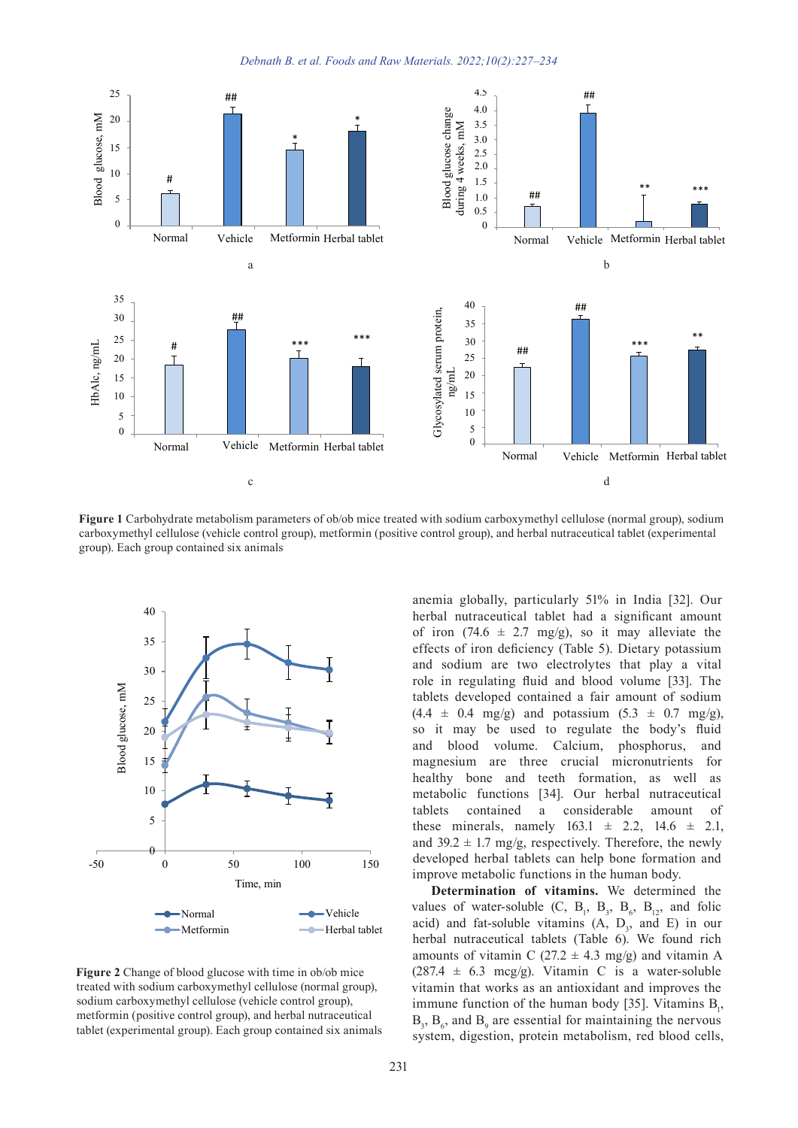



Figure 1 Carbohydrate metabolism parameters of ob/ob mice treated with sodium carboxymethyl cellulose (normal group), sodium carboxymethyl cellulose (vehicle control group), metformin (positive control group), and herbal nutraceutical tablet (experimental  $\sigma$ carboxymethyl cellulose (vehicle control a group). Each group contained six animals In social carooxymethyl centriose (normal group), social introl group), and herbal nutraceutical tablet (experimental  $\frac{1}{3}$  sodium  $\frac{1}{2}$  $\frac{1}{2}$ m<br>m HbAlc, ng/mL 15 scos<br>Served served served served served served served served served served served served served served served serve<br>Served served served served served served served served served served served served served served served s h s<br>tro<br>al<br>ro 30 sure 1 Carbohydrate metabolism parameters of ob/ob mice treated with sodium carboxymethyl cellulose Fact I can bonyurate includes in parameters of 60% line treated with southin carboxymethyl centrose (normal group)<br>boxymethyl cellulose (vehicle control group), metformin (positive control group), and herbal nutraceutical Florepy, and her our hardecearied above (experimental h s<br>tro<br>al<br>al \*\* h :<br>tro<br>al<br>al \*\* Fi<sub>l</sub><br>ca:<br>gr an<br>ro an<br>,ro C<sub>c</sub><br>g<sub>1</sub> n<br>ox<br>p) i<br>https://www.  $\frac{1}{g}$ gi  $\mathbf{r}$ . Each group ur<br>00<br>up **ig**<br>arl<br>ro  $\frac{1}{10}$ i**gu**<br>irb<br>ou  $\alpha$ <br>ox<br> $\beta$ ). F ca<br>gl  $\frac{d}{dt}$  $\frac{1}{2}$  and  $\frac{1}{2}$  we have  $\frac{1}{2}$ xymethyl cellulose (venicle control group), metrormin (po<br>
). Each group contained six animals  $^{\rm 4}$ ىد<br>41 positive control group) **zu**<br>bo<br>pup เท<br>nti<br>หล<sup>่</sup> itr<br>pn<br>b: l W<br>e c<br>ne a y<br>e d<br>he



Figure 2 Change of blood glucose with time in ob/ob mice reated with sodium carboxymethyl cellulose (normal group), readium carboxymethyl cellulose (normal group), sodium carboxymethyl cellulose (vehicle control group), metformin (positive control group), and herbal nutraceutical tablet (experimental group). Each group contained six animals **gu**<br>ate<br>tfd **u**<br>teiu<br>tfc Fig<br>re<br>aoc<br>ab gure 2 F<br>tr score<br>ta

anemia globally, particularly 51% in India [32]. Our herbal nutraceutical tablet had a significant amount of iron  $(74.6 \pm 2.7 \text{ mg/g})$ , so it may alleviate the effects of iron deficiency (Table 5). Dietary potassium and sodium are two electrolytes that play a vital role in regulating fluid and blood volume [33]. The tablets developed contained a fair amount of sodium  $(4.4 \pm 0.4 \text{ mg/g})$  and potassium  $(5.3 \pm 0.7 \text{ mg/g})$ , so it may be used to regulate the body's fluid and blood volume. Calcium, phosphorus, and magnesium are three crucial micronutrients for healthy bone and teeth formation, as well as metabolic functions [24]. Our borbel nutre continual metabolic functions [34]. Our herbal nutraceutical a considerable amount of these minerals, namely  $163.1 \pm 2.2$ ,  $14.6 \pm 2.1$ , and  $39.2 \pm 1.7$  mg/g, respectively. Therefore, the newly developed herbal tablets can help bone formation and improve metabolic functions in the human body.  $\frac{1}{\pi}$  are two electrolytes that play a vital so<br>ol<br>a<br>a<br>n<br>n conta ablets can help bone formation and Glycosylated series<br>Glycosin<br>Coling to 0  $\mu$  and  $\mu$  and  $\mu$  and  $\mu$  table  $\mu$  table to  $\mu$  table dia<br>(4.<br>so<br>an mi<br>he<br>tal  $\ddot{\phantom{0}}$ herbal tablets can help bone formation and  $\begin{array}{c}\n \overline{\phantom{a}} \\
 \phantom{\overline{a}} \\
 \phantom{\overline{b}} \\
 \phantom{\overline{b}} \\
 \phantom{\overline{b}} \\
 \phantom{\overline{b}} \\
 \phantom{\overline{b}} \\
 \phantom{\overline{b}} \\
 \phantom{\overline{b}} \\
 \phantom{\overline{b}} \\
 \phantom{\overline{b}} \\
 \phantom{\overline{b}} \\
 \phantom{\overline{b}} \\
 \phantom{\overline{b}} \\
 \phantom{\overline{b}} \\
 \phantom{\overline{b}} \\
 \phantom{\overline{b}} \\
 \phantom{\overline{b}} \\
 \phantom{\overline{b}} \\
 \phantom{\overline{b}} \\
 \phantom{\overline{b}} \\
 \phant$ <sub>2</sub><br>mesiur Glion<br>| 4<br>| nd<br>| nd<br>| ea<br>| ea  $\mu$  particularly  $\mathcal{I}$  /0 in Highar [ $\mathcal{I}$ ]. Out 15 15 ng/m 15 ng/m 15 ng/m 101520 ng/m 10 1.5 1.5 1.5 1.5 h s<br>tro<br>al<br>ro  $\frac{0.1}{0.1}$  Herbal Herbal Herbal Theorem Herbal tablet h s<br>tro<br>al<br>ro  $\frac{1}{2}$  are two electrolytes that play a vital  $\int$  irol h s<br>tro<br>al<br>ro An interior Solum carboxymethyl cellulose (normal group), sodium<br>trol group), and herbal nutraceutical tablet (experimental<br>nia globally, particularly 51% in India [32]. Our<br>al nutraceutical tablet had a significant amoun  $(74.6)$ globally, particularly 51% in India [32]. Our<br>nutraceutical tablet had a significant amount ol<br>a<br>t m<br>|th<br>|<br>|et: ro<br>ia<br><sup>.1</sup>  $\frac{u}{2}$ 331<br>. gı<br>alt<br>le n<br>en<br>ba ر<br>afc  $\ddot{\phantom{0}}$  $\mathsf{u}$ ma<br>ne<br>:ał or<br>er<br>rb m<br>h<br>m<br>ta

**Determination of vitamins.** We determined the values of water-soluble  $(C, B_1, B_3, B_6, B_{12}, and folic$ blet acid) and fat-soluble vitamins  $(A, D_3, and E)$  in our herbal nutraceutical tablets (Table 6). We found rich amounts of vitamin C  $(27.2 \pm 4.3 \text{ mg/g})$  and vitamin A<br> $(297.4 \pm 6.3 \text{ mg/s})$ . Vitamin C is a write solution  $(287.4 \pm 6.3 \text{ mcg/g})$ . Vitamin C is a water-soluble vitamin that works as an antioxidant and improves the vitamin that works as an antioxidant and improves the immune function of the human body [35]. Vitamins  $B_1$ ,  $B_3$ ,  $B_6$ , and  $B_9$  are essential for maintaining the nervous  $\mathcal{L}_3$ ,  $\mathcal{L}_6$ , and  $\mathcal{L}_9$  are essential for maintaining the net votal system, digestion, protein metabolism, red blood cells,  $\begin{array}{c} \n \text{a} \\
 \text{an} \\
 4 \\
 \text{in} \\
 \text{in} \\
 \text{in} \\
 \text{in} \\
 \text{in} \\
 \end{array}$ l)<br>pa pu<br>7.4 m<br>mu<br>B<sub>(</sub>el cider<br>erm<br>28<br>itan<br>3,<br>ys aci<br>earn<br>28<br>it m<br>3<sub>3</sub><br>sy!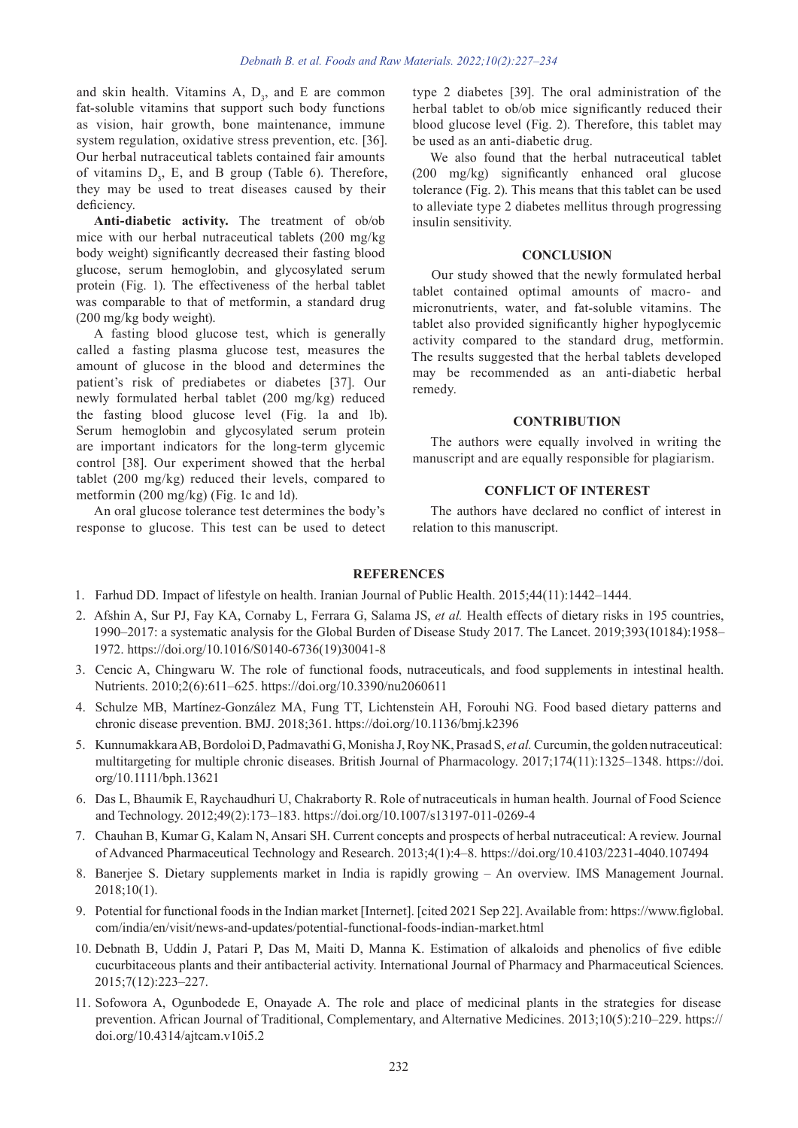and skin health. Vitamins A,  $D_3$ , and E are common fat-soluble vitamins that support such body functions as vision, hair growth, bone maintenance, immune system regulation, oxidative stress prevention, etc. [36]. Our herbal nutraceutical tablets contained fair amounts of vitamins  $D_3$ , E, and B group (Table 6). Therefore, they may be used to treat diseases caused by their deficiency.

**Anti-diabetic activity.** The treatment of ob/ob mice with our herbal nutraceutical tablets (200 mg/kg body weight) significantly decreased their fasting blood glucose, serum hemoglobin, and glycosylated serum protein (Fig. 1). The effectiveness of the herbal tablet was comparable to that of metformin, a standard drug (200 mg/kg body weight).

A fasting blood glucose test, which is generally called a fasting plasma glucose test, measures the amount of glucose in the blood and determines the patient's risk of prediabetes or diabetes [37]. Our newly formulated herbal tablet (200 mg/kg) reduced the fasting blood glucose level (Fig. 1a and 1b). Serum hemoglobin and glycosylated serum protein are important indicators for the long-term glycemic control [38]. Our experiment showed that the herbal tablet (200 mg/kg) reduced their levels, compared to metformin (200 mg/kg) (Fig. 1c and 1d).

An oral glucose tolerance test determines the body's response to glucose. This test can be used to detect type 2 diabetes [39]. The oral administration of the herbal tablet to ob/ob mice significantly reduced their blood glucose level (Fig. 2). Therefore, this tablet may be used as an anti-diabetic drug.

We also found that the herbal nutraceutical tablet (200 mg/kg) significantly enhanced oral glucose tolerance (Fig. 2). This means that this tablet can be used to alleviate type 2 diabetes mellitus through progressing insulin sensitivity.

#### **CONCLUSION**

Our study showed that the newly formulated herbal tablet contained optimal amounts of macro- and micronutrients, water, and fat-soluble vitamins. The tablet also provided significantly higher hypoglycemic activity compared to the standard drug, metformin. The results suggested that the herbal tablets developed may be recommended as an anti-diabetic herbal remedy.

### **CONTRIBUTION**

The authors were equally involved in writing the manuscript and are equally responsible for plagiarism.

# **CONFLICT OF INTEREST**

The authors have declared no conflict of interest in relation to this manuscript.

# **REFERENCES**

- 1. Farhud DD. Impact of lifestyle on health. Iranian Journal of Public Health. 2015;44(11):1442–1444.
- 2. Afshin A, Sur PJ, Fay KA, Cornaby L, Ferrara G, Salama JS, *et al.* Health effects of dietary risks in 195 countries, 1990–2017: a systematic analysis for the Global Burden of Disease Study 2017. The Lancet. 2019;393(10184):1958– 1972. https://doi.org/10.1016/S0140-6736(19)30041-8
- 3. Cencic A, Chingwaru W. The role of functional foods, nutraceuticals, and food supplements in intestinal health. Nutrients. 2010;2(6):611–625. https://doi.org/10.3390/nu2060611
- 4. Schulze MB, Martínez-González MA, Fung TT, Lichtenstein AH, Forouhi NG. Food based dietary patterns and chronic disease prevention. BMJ. 2018;361. https://doi.org/10.1136/bmj.k2396
- 5. Kunnumakkara AB, Bordoloi D, Padmavathi G, Monisha J, Roy NK, Prasad S, *et al.* Curcumin, the golden nutraceutical: multitargeting for multiple chronic diseases. British Journal of Pharmacology. 2017;174(11):1325–1348. https://doi. org/10.1111/bph.13621
- 6. Das L, Bhaumik E, Raychaudhuri U, Chakraborty R. Role of nutraceuticals in human health. Journal of Food Science and Technology. 2012;49(2):173–183. https://doi.org/10.1007/s13197-011-0269-4
- 7. Chauhan B, Kumar G, Kalam N, Ansari SH. Current concepts and prospects of herbal nutraceutical: A review. Journal of Advanced Pharmaceutical Technology and Research. 2013;4(1):4–8. https://doi.org/10.4103/2231-4040.107494
- 8. Banerjee S. Dietary supplements market in India is rapidly growing An overview. IMS Management Journal. 2018;10(1).
- 9. Potential for functional foods in the Indian market [Internet]. [cited 2021 Sep 22]. Available from: https://www.figlobal. com/india/en/visit/news-and-updates/potential-functional-foods-indian-market.html
- 10. Debnath B, Uddin J, Patari P, Das M, Maiti D, Manna K. Estimation of alkaloids and phenolics of five edible cucurbitaceous plants and their antibacterial activity. International Journal of Pharmacy and Pharmaceutical Sciences. 2015;7(12):223–227.
- 11. Sofowora A, Ogunbodede E, Onayade A. The role and place of medicinal plants in the strategies for disease prevention. African Journal of Traditional, Complementary, and Alternative Medicines. 2013;10(5):210–229. https:// doi.org/10.4314/ajtcam.v10i5.2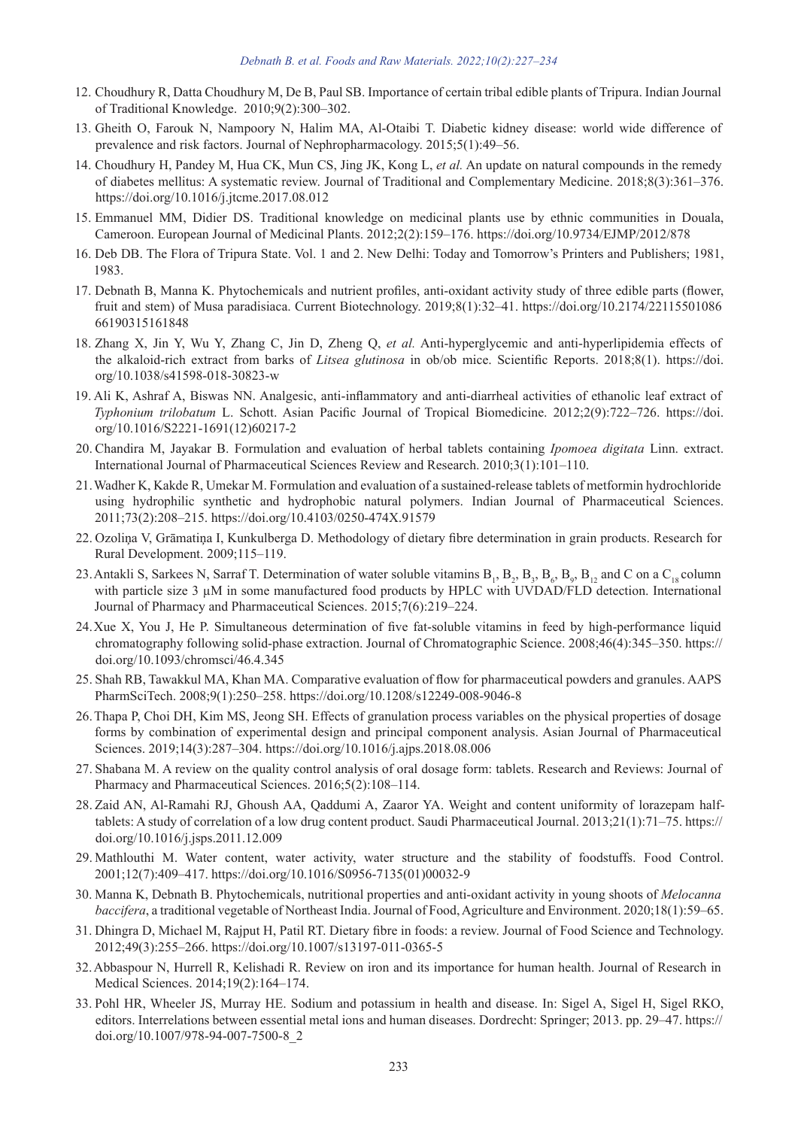- 12. Choudhury R, Datta Choudhury M, De B, Paul SB. Importance of certain tribal edible plants of Tripura. Indian Journal of Traditional Knowledge. 2010;9(2):300–302.
- 13. Gheith O, Farouk N, Nampoory N, Halim MA, Al-Otaibi T. Diabetic kidney disease: world wide difference of prevalence and risk factors. Journal of Nephropharmacology. 2015;5(1):49–56.
- 14. Choudhury H, Pandey M, Hua CK, Mun CS, Jing JK, Kong L, *et al.* An update on natural compounds in the remedy of diabetes mellitus: A systematic review. Journal of Traditional and Complementary Medicine. 2018;8(3):361–376. https://doi.org/10.1016/j.jtcme.2017.08.012
- 15. Emmanuel MM, Didier DS. Traditional knowledge on medicinal plants use by ethnic communities in Douala, Cameroon. European Journal of Medicinal Plants. 2012;2(2):159–176. https://doi.org/10.9734/EJMP/2012/878
- 16. Deb DB. The Flora of Tripura State. Vol. 1 and 2. New Delhi: Today and Tomorrow's Printers and Publishers; 1981, 1983.
- 17. Debnath B, Manna K. Phytochemicals and nutrient profiles, anti-oxidant activity study of three edible parts (flower, fruit and stem) of Musa paradisiaca. Current Biotechnology. 2019;8(1):32–41. https://doi.org/10.2174/22115501086 66190315161848
- 18. Zhang X, Jin Y, Wu Y, Zhang C, Jin D, Zheng Q, *et al.* Anti-hyperglycemic and anti-hyperlipidemia effects of the alkaloid-rich extract from barks of *Litsea glutinosa* in ob/ob mice. Scientific Reports. 2018;8(1). https://doi. org/10.1038/s41598-018-30823-w
- 19. Ali K, Ashraf A, Biswas NN. Analgesic, anti-inflammatory and anti-diarrheal activities of ethanolic leaf extract of *Typhonium trilobatum* L. Schott. Asian Pacific Journal of Tropical Biomedicine. 2012;2(9):722–726. https://doi. org/10.1016/S2221-1691(12)60217-2
- 20. Chandira M, Jayakar B. Formulation and evaluation of herbal tablets containing *Ipomoea digitata* Linn. extract. International Journal of Pharmaceutical Sciences Review and Research. 2010;3(1):101–110.
- 21.Wadher K, Kakde R, Umekar M. Formulation and evaluation of a sustained-release tablets of metformin hydrochloride using hydrophilic synthetic and hydrophobic natural polymers. Indian Journal of Pharmaceutical Sciences. 2011;73(2):208–215. https://doi.org/10.4103/0250-474X.91579
- 22. Ozoliņa V, Grāmatiņa I, Kunkulberga D. Methodology of dietary fibre determination in grain products. Research for Rural Development. 2009;115–119.
- 23. Antakli S, Sarkees N, Sarraf T. Determination of water soluble vitamins  $B_1$ ,  $B_2$ ,  $B_3$ ,  $B_6$ ,  $B_9$ ,  $B_{12}$  and C on a  $C_{18}$  column with particle size 3  $\mu$ M in some manufactured food products by HPLC with UVDAD/FLD detection. International Journal of Pharmacy and Pharmaceutical Sciences. 2015;7(6):219–224.
- 24.Xue X, You J, He P. Simultaneous determination of five fat-soluble vitamins in feed by high-performance liquid chromatography following solid-phase extraction. Journal of Chromatographic Science. 2008;46(4):345–350. https:// doi.org/10.1093/chromsci/46.4.345
- 25. Shah RB, Tawakkul MA, Khan MA. Comparative evaluation of flow for pharmaceutical powders and granules. AAPS PharmSciTech. 2008;9(1):250–258. https://doi.org/10.1208/s12249-008-9046-8
- 26.Thapa P, Choi DH, Kim MS, Jeong SH. Effects of granulation process variables on the physical properties of dosage forms by combination of experimental design and principal component analysis. Asian Journal of Pharmaceutical Sciences. 2019;14(3):287–304. https://doi.org/10.1016/j.ajps.2018.08.006
- 27. Shabana M. A review on the quality control analysis of oral dosage form: tablets. Research and Reviews: Journal of Pharmacy and Pharmaceutical Sciences. 2016;5(2):108–114.
- 28. Zaid AN, Al-Ramahi RJ, Ghoush AA, Qaddumi A, Zaaror YA. Weight and content uniformity of lorazepam halftablets: A study of correlation of a low drug content product. Saudi Pharmaceutical Journal. 2013;21(1):71–75. https:// doi.org/10.1016/j.jsps.2011.12.009
- 29. Mathlouthi M. Water content, water activity, water structure and the stability of foodstuffs. Food Control. 2001;12(7):409–417. https://doi.org/10.1016/S0956-7135(01)00032-9
- 30. Manna K, Debnath B. Phytochemicals, nutritional properties and anti-oxidant activity in young shoots of *Melocanna baccifera*, a traditional vegetable of Northeast India. Journal of Food, Agriculture and Environment. 2020;18(1):59–65.
- 31. Dhingra D, Michael M, Rajput H, Patil RT. Dietary fibre in foods: a review. Journal of Food Science and Technology. 2012;49(3):255–266. https://doi.org/10.1007/s13197-011-0365-5
- 32.Abbaspour N, Hurrell R, Kelishadi R. Review on iron and its importance for human health. Journal of Research in Medical Sciences. 2014;19(2):164–174.
- 33. Pohl HR, Wheeler JS, Murray HE. Sodium and potassium in health and disease. In: Sigel A, Sigel H, Sigel RKO, editors. Interrelations between essential metal ions and human diseases. Dordrecht: Springer; 2013. pp. 29–47. https:// doi.org/10.1007/978-94-007-7500-8\_2